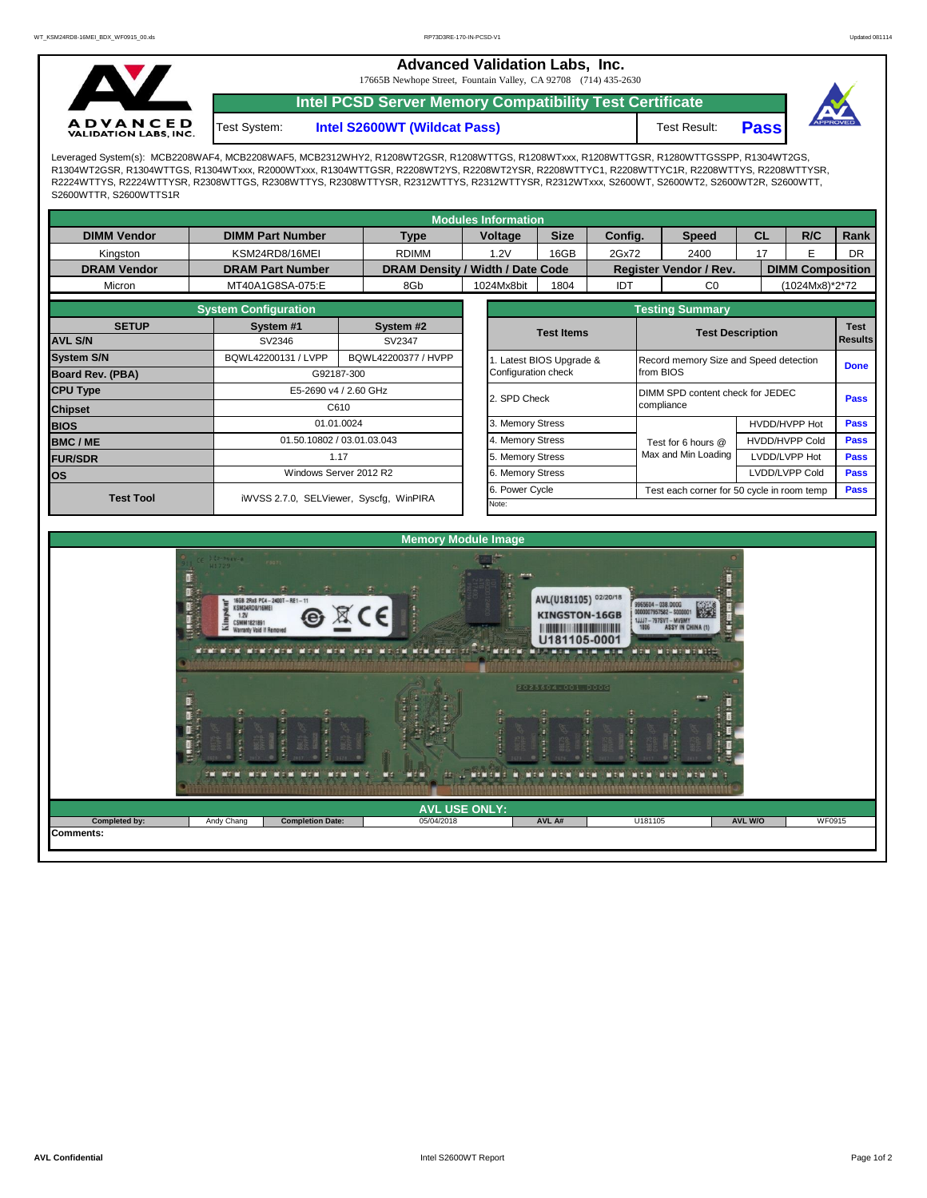**Advanced Validation Labs, Inc.** 

17665B Newhope Street, Fountain Valley, CA 92708 (714) 435-2630



Test System:

**Intel PCSD Server Memory Compatibility Test Certificate**

**Intel S2600WT (Wildcat Pass)** Test Result: **Pass** 



Leveraged System(s): MCB2208WAF4, MCB2208WAF5, MCB2312WHY2, R1208WT2GSR, R1208WTTGS, R1208WTxxx, R1208WTTGSR, R1280WTTGSSPP, R1304WT2GS, R1304WT2GSR, R1304WTTGS, R1304WTxxx, R2000WTxxx, R1304WTTGSR, R2208WT2YS, R2208WT2YSR, R2208WTTYC1, R2208WTTYC1R, R2208WTTYS, R2208WTTYSR, R2224WTTYS, R2224WTTYSR, R2308WTTGS, R2308WTTYS, R2308WTTYSR, R2312WTTYS, R2312WTTYSR, R2312WTxxx, S2600WT, S2600WT2, S2600WT2R, S2600WTT, S2600WTTR, S2600WTTS1R

| <b>Modules Information</b>                  |                         |                                         |                                  |                  |                                                                |             |                       |                                                    |                               |    |                         |             |  |  |
|---------------------------------------------|-------------------------|-----------------------------------------|----------------------------------|------------------|----------------------------------------------------------------|-------------|-----------------------|----------------------------------------------------|-------------------------------|----|-------------------------|-------------|--|--|
| <b>DIMM Vendor</b>                          | <b>DIMM Part Number</b> |                                         | <b>Type</b>                      |                  | Voltage                                                        | <b>Size</b> | Config.               |                                                    | <b>Speed</b>                  | CL | R/C                     | Rank        |  |  |
| Kingston                                    | KSM24RD8/16MEI          |                                         | <b>RDIMM</b>                     |                  | 1.2V                                                           | 16GB        | 2Gx72                 |                                                    | 2400                          | 17 | Е                       | <b>DR</b>   |  |  |
| <b>DRAM Vendor</b>                          | <b>DRAM Part Number</b> |                                         | DRAM Density / Width / Date Code |                  |                                                                |             |                       |                                                    | <b>Register Vendor / Rev.</b> |    | <b>DIMM Composition</b> |             |  |  |
| Micron                                      | MT40A1G8SA-075:E        |                                         | 8Gb                              |                  | 1024Mx8bit                                                     | 1804        | IDT                   |                                                    | C <sub>0</sub>                |    | (1024Mx8)*2*72          |             |  |  |
|                                             |                         | <b>Testing Summary</b>                  |                                  |                  |                                                                |             |                       |                                                    |                               |    |                         |             |  |  |
| <b>SETUP</b>                                | System #1               |                                         | System #2                        |                  | <b>Test Items</b>                                              |             |                       | <b>Test Description</b>                            |                               |    |                         | <b>Test</b> |  |  |
| <b>AVL S/N</b>                              | SV2346                  |                                         | SV2347                           |                  |                                                                |             |                       |                                                    | <b>Results</b>                |    |                         |             |  |  |
| <b>System S/N</b>                           | BQWL42200131 / LVPP     | BQWL42200377 / HVPP                     |                                  |                  |                                                                |             | Latest BIOS Upgrade & | Record memory Size and Speed detection             |                               |    |                         | <b>Done</b> |  |  |
| <b>Board Rev. (PBA)</b>                     |                         | G92187-300                              |                                  |                  | Configuration check                                            |             |                       | from BIOS                                          |                               |    |                         |             |  |  |
| <b>CPU Type</b>                             |                         | E5-2690 v4 / 2.60 GHz                   |                                  |                  | 2. SPD Check                                                   |             |                       | DIMM SPD content check for JEDEC                   |                               |    |                         | <b>Pass</b> |  |  |
| <b>Chipset</b>                              |                         | C610                                    |                                  |                  |                                                                |             |                       | compliance                                         |                               |    |                         |             |  |  |
| <b>BIOS</b>                                 | 01.01.0024              |                                         |                                  | 3. Memory Stress |                                                                |             |                       |                                                    | HVDD/HVPP Hot                 |    | <b>Pass</b>             |             |  |  |
| 01.50.10802 / 03.01.03.043<br><b>BMC/ME</b> |                         |                                         |                                  |                  | . Memory Stress<br><b>HVDD/HVPP Cold</b><br>Test for 6 hours @ |             |                       |                                                    |                               |    | <b>Pass</b>             |             |  |  |
| <b>FUR/SDR</b>                              | 1.17                    |                                         |                                  |                  | 5. Memory Stress                                               |             |                       |                                                    | Max and Min Loading           |    | LVDD/LVPP Hot           | <b>Pass</b> |  |  |
| <b>los</b>                                  | Windows Server 2012 R2  |                                         |                                  |                  | 6. Memory Stress                                               |             |                       |                                                    |                               |    | LVDD/LVPP Cold          | <b>Pass</b> |  |  |
| <b>Test Tool</b>                            |                         | iWVSS 2.7.0, SELViewer, Syscfq, WinPIRA |                                  |                  |                                                                | Power Cycle |                       | Pass<br>Test each corner for 50 cycle in room temp |                               |    |                         |             |  |  |
|                                             |                         |                                         |                                  |                  | Note:                                                          |             |                       |                                                    |                               |    |                         |             |  |  |